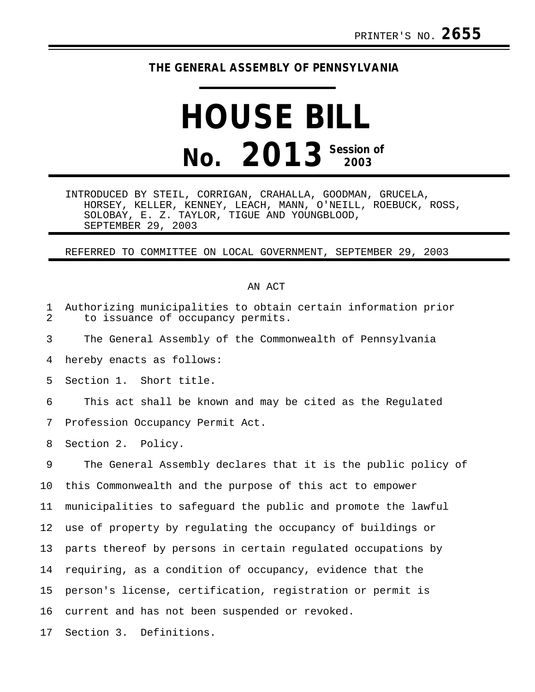## **THE GENERAL ASSEMBLY OF PENNSYLVANIA**

## **HOUSE BILL No. 2013 Session of 2003**

INTRODUCED BY STEIL, CORRIGAN, CRAHALLA, GOODMAN, GRUCELA, HORSEY, KELLER, KENNEY, LEACH, MANN, O'NEILL, ROEBUCK, ROSS, SOLOBAY, E. Z. TAYLOR, TIGUE AND YOUNGBLOOD, SEPTEMBER 29, 2003

REFERRED TO COMMITTEE ON LOCAL GOVERNMENT, SEPTEMBER 29, 2003

## AN ACT

| $\mathbf{1}$<br>$\overline{2}$ | Authorizing municipalities to obtain certain information prior<br>to issuance of occupancy permits. |
|--------------------------------|-----------------------------------------------------------------------------------------------------|
| 3                              | The General Assembly of the Commonwealth of Pennsylvania                                            |
| 4                              | hereby enacts as follows:                                                                           |
| 5                              | Section 1. Short title.                                                                             |
| 6                              | This act shall be known and may be cited as the Regulated                                           |
| 7                              | Profession Occupancy Permit Act.                                                                    |
| 8                              | Section 2. Policy.                                                                                  |
| 9                              | The General Assembly declares that it is the public policy of                                       |
| 10                             | this Commonwealth and the purpose of this act to empower                                            |
| 11                             | municipalities to safequard the public and promote the lawful                                       |
| 12                             | use of property by regulating the occupancy of buildings or                                         |
| 13                             | parts thereof by persons in certain regulated occupations by                                        |
| 14                             | requiring, as a condition of occupancy, evidence that the                                           |
| 15                             | person's license, certification, registration or permit is                                          |
| 16                             | current and has not been suspended or revoked.                                                      |
| 17                             | Section 3. Definitions.                                                                             |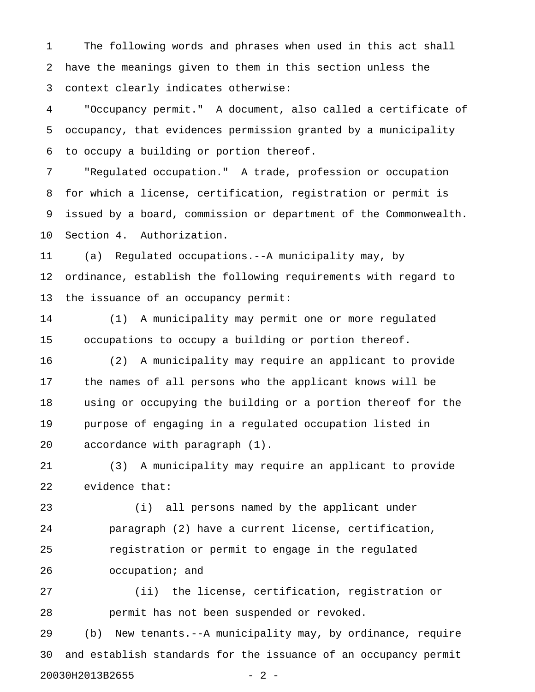1 The following words and phrases when used in this act shall 2 have the meanings given to them in this section unless the 3 context clearly indicates otherwise:

4 "Occupancy permit." A document, also called a certificate of 5 occupancy, that evidences permission granted by a municipality 6 to occupy a building or portion thereof.

7 "Regulated occupation." A trade, profession or occupation 8 for which a license, certification, registration or permit is 9 issued by a board, commission or department of the Commonwealth. 10 Section 4. Authorization.

11 (a) Regulated occupations.--A municipality may, by 12 ordinance, establish the following requirements with regard to 13 the issuance of an occupancy permit:

14 (1) A municipality may permit one or more regulated 15 occupations to occupy a building or portion thereof.

16 (2) A municipality may require an applicant to provide 17 the names of all persons who the applicant knows will be 18 using or occupying the building or a portion thereof for the 19 purpose of engaging in a regulated occupation listed in 20 accordance with paragraph (1).

21 (3) A municipality may require an applicant to provide 22 evidence that:

23 (i) all persons named by the applicant under 24 paragraph (2) have a current license, certification, 25 registration or permit to engage in the regulated 26 occupation; and

27 (ii) the license, certification, registration or 28 permit has not been suspended or revoked.

29 (b) New tenants.--A municipality may, by ordinance, require 30 and establish standards for the issuance of an occupancy permit 20030H2013B2655 - 2 -